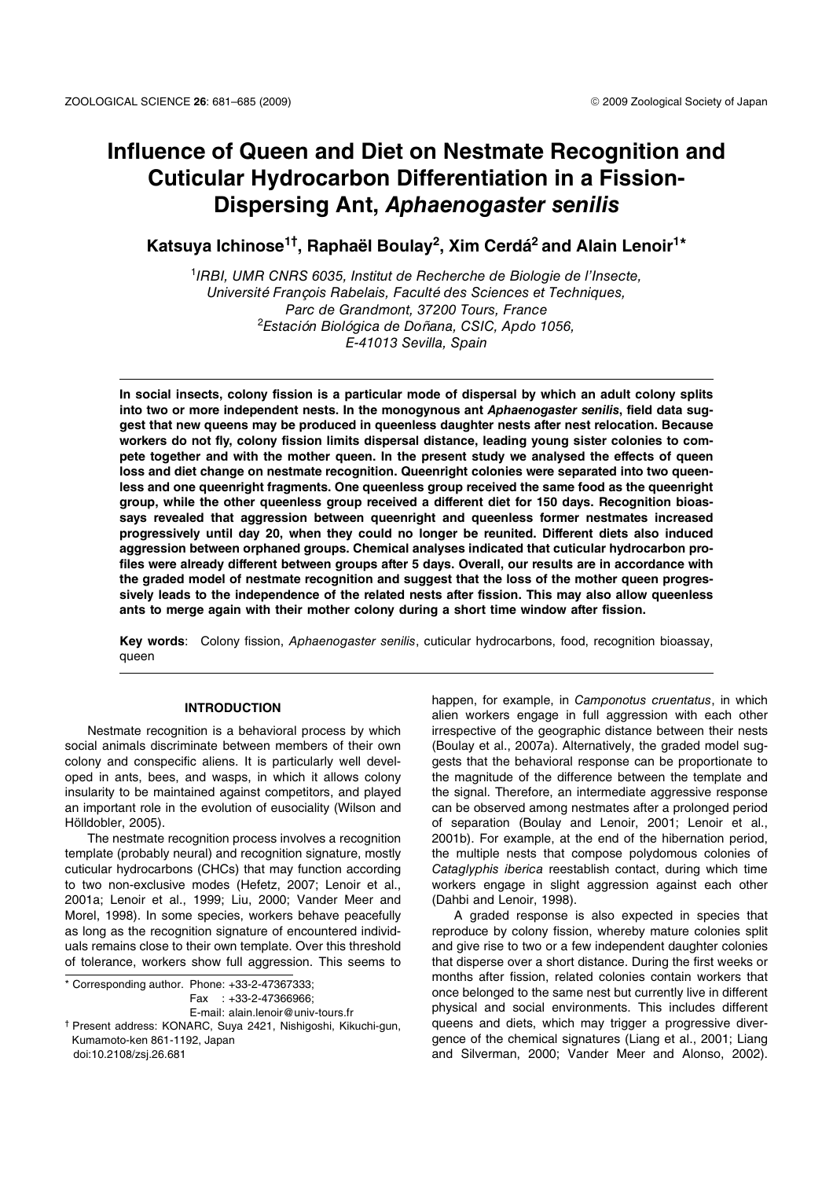# **Influence of Queen and Diet on Nestmate Recognition and Cuticular Hydrocarbon Differentiation in a Fission-Dispersing Ant,** *Aphaenogaster senilis*

**Katsuya Ichinose1† , Raphaël Boulay2, Xim Cerdá2 and Alain Lenoir1\***

<sup>1</sup>IRBI, UMR CNRS 6035, Institut de Recherche de Biologie de l'Insecte, Université François Rabelais, Faculté des Sciences et Techniques, Parc de Grandmont, 37200 Tours, France <sup>2</sup>Estación Biológica de Doñana, CSIC, Apdo 1056, E-41013 Sevilla, Spain

**In social insects, colony fission is a particular mode of dispersal by which an adult colony splits into two or more independent nests. In the monogynous ant** *Aphaenogaster senilis***, field data suggest that new queens may be produced in queenless daughter nests after nest relocation. Because workers do not fly, colony fission limits dispersal distance, leading young sister colonies to compete together and with the mother queen. In the present study we analysed the effects of queen loss and diet change on nestmate recognition. Queenright colonies were separated into two queenless and one queenright fragments. One queenless group received the same food as the queenright group, while the other queenless group received a different diet for 150 days. Recognition bioassays revealed that aggression between queenright and queenless former nestmates increased progressively until day 20, when they could no longer be reunited. Different diets also induced aggression between orphaned groups. Chemical analyses indicated that cuticular hydrocarbon profiles were already different between groups after 5 days. Overall, our results are in accordance with the graded model of nestmate recognition and suggest that the loss of the mother queen progressively leads to the independence of the related nests after fission. This may also allow queenless ants to merge again with their mother colony during a short time window after fission.** 

**Key words**: Colony fission, Aphaenogaster senilis, cuticular hydrocarbons, food, recognition bioassay, queen

# **INTRODUCTION**

Nestmate recognition is a behavioral process by which social animals discriminate between members of their own colony and conspecific aliens. It is particularly well developed in ants, bees, and wasps, in which it allows colony insularity to be maintained against competitors, and played an important role in the evolution of eusociality (Wilson and Hölldobler, 2005).

The nestmate recognition process involves a recognition template (probably neural) and recognition signature, mostly cuticular hydrocarbons (CHCs) that may function according to two non-exclusive modes (Hefetz, 2007; Lenoir et al., 2001a; Lenoir et al., 1999; Liu, 2000; Vander Meer and Morel, 1998). In some species, workers behave peacefully as long as the recognition signature of encountered individuals remains close to their own template. Over this threshold of tolerance, workers show full aggression. This seems to

\* Corresponding author. Phone: +33-2-47367333; Fax : +33-2-47366966; E-mail: alain.lenoir@univ-tours.fr † Present address: KONARC, Suya 2421, Nishigoshi, Kikuchi-gun,

Kumamoto-ken 861-1192, Japan doi:10.2108/zsj.26.681

happen, for example, in Camponotus cruentatus, in which alien workers engage in full aggression with each other irrespective of the geographic distance between their nests (Boulay et al., 2007a). Alternatively, the graded model suggests that the behavioral response can be proportionate to the magnitude of the difference between the template and the signal. Therefore, an intermediate aggressive response can be observed among nestmates after a prolonged period of separation (Boulay and Lenoir, 2001; Lenoir et al., 2001b). For example, at the end of the hibernation period, the multiple nests that compose polydomous colonies of Cataglyphis iberica reestablish contact, during which time workers engage in slight aggression against each other (Dahbi and Lenoir, 1998).

A graded response is also expected in species that reproduce by colony fission, whereby mature colonies split and give rise to two or a few independent daughter colonies that disperse over a short distance. During the first weeks or months after fission, related colonies contain workers that once belonged to the same nest but currently live in different physical and social environments. This includes different queens and diets, which may trigger a progressive divergence of the chemical signatures (Liang et al., 2001; Liang and Silverman, 2000; Vander Meer and Alonso, 2002).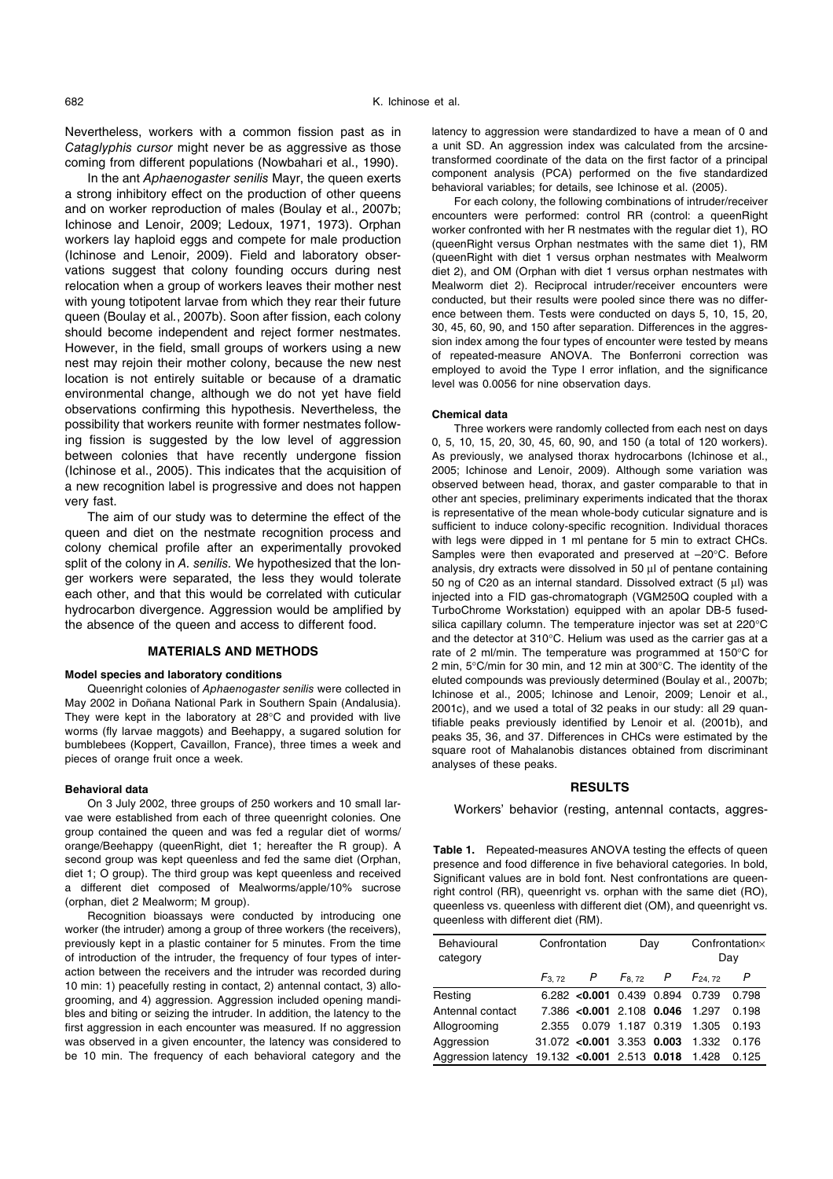Nevertheless, workers with a common fission past as in Cataglyphis cursor might never be as aggressive as those coming from different populations (Nowbahari et al., 1990).

In the ant Aphaenogaster senilis Mayr, the queen exerts a strong inhibitory effect on the production of other queens and on worker reproduction of males (Boulay et al., 2007b; Ichinose and Lenoir, 2009; Ledoux, 1971, 1973). Orphan workers lay haploid eggs and compete for male production (Ichinose and Lenoir, 2009). Field and laboratory observations suggest that colony founding occurs during nest relocation when a group of workers leaves their mother nest with young totipotent larvae from which they rear their future queen (Boulay et al., 2007b). Soon after fission, each colony should become independent and reject former nestmates. However, in the field, small groups of workers using a new nest may rejoin their mother colony, because the new nest location is not entirely suitable or because of a dramatic environmental change, although we do not yet have field observations confirming this hypothesis. Nevertheless, the possibility that workers reunite with former nestmates following fission is suggested by the low level of aggression between colonies that have recently undergone fission (Ichinose et al., 2005). This indicates that the acquisition of a new recognition label is progressive and does not happen very fast.

The aim of our study was to determine the effect of the queen and diet on the nestmate recognition process and colony chemical profile after an experimentally provoked split of the colony in A. senilis. We hypothesized that the longer workers were separated, the less they would tolerate each other, and that this would be correlated with cuticular hydrocarbon divergence. Aggression would be amplified by the absence of the queen and access to different food.

## **MATERIALS AND METHODS**

#### **Model species and laboratory conditions**

Queenright colonies of Aphaenogaster senilis were collected in May 2002 in Doñana National Park in Southern Spain (Andalusia). They were kept in the laboratory at 28°C and provided with live worms (fly larvae maggots) and Beehappy, a sugared solution for bumblebees (Koppert, Cavaillon, France), three times a week and pieces of orange fruit once a week.

## **Behavioral data**

On 3 July 2002, three groups of 250 workers and 10 small larvae were established from each of three queenright colonies. One group contained the queen and was fed a regular diet of worms/ orange/Beehappy (queenRight, diet 1; hereafter the R group). A second group was kept queenless and fed the same diet (Orphan, diet 1; O group). The third group was kept queenless and received a different diet composed of Mealworms/apple/10% sucrose (orphan, diet 2 Mealworm; M group).

Recognition bioassays were conducted by introducing one worker (the intruder) among a group of three workers (the receivers), previously kept in a plastic container for 5 minutes. From the time of introduction of the intruder, the frequency of four types of interaction between the receivers and the intruder was recorded during 10 min: 1) peacefully resting in contact, 2) antennal contact, 3) allogrooming, and 4) aggression. Aggression included opening mandibles and biting or seizing the intruder. In addition, the latency to the first aggression in each encounter was measured. If no aggression was observed in a given encounter, the latency was considered to be 10 min. The frequency of each behavioral category and the

latency to aggression were standardized to have a mean of 0 and a unit SD. An aggression index was calculated from the arcsinetransformed coordinate of the data on the first factor of a principal component analysis (PCA) performed on the five standardized behavioral variables; for details, see Ichinose et al. (2005).

For each colony, the following combinations of intruder/receiver encounters were performed: control RR (control: a queenRight worker confronted with her R nestmates with the regular diet 1), RO (queenRight versus Orphan nestmates with the same diet 1), RM (queenRight with diet 1 versus orphan nestmates with Mealworm diet 2), and OM (Orphan with diet 1 versus orphan nestmates with Mealworm diet 2). Reciprocal intruder/receiver encounters were conducted, but their results were pooled since there was no difference between them. Tests were conducted on days 5, 10, 15, 20, 30, 45, 60, 90, and 150 after separation. Differences in the aggression index among the four types of encounter were tested by means of repeated-measure ANOVA. The Bonferroni correction was employed to avoid the Type I error inflation, and the significance level was 0.0056 for nine observation days.

#### **Chemical data**

Three workers were randomly collected from each nest on days 0, 5, 10, 15, 20, 30, 45, 60, 90, and 150 (a total of 120 workers). As previously, we analysed thorax hydrocarbons (Ichinose et al., 2005; Ichinose and Lenoir, 2009). Although some variation was observed between head, thorax, and gaster comparable to that in other ant species, preliminary experiments indicated that the thorax is representative of the mean whole-body cuticular signature and is sufficient to induce colony-specific recognition. Individual thoraces with legs were dipped in 1 ml pentane for 5 min to extract CHCs. Samples were then evaporated and preserved at –20°C. Before analysis, dry extracts were dissolved in 50 μl of pentane containing 50 ng of C20 as an internal standard. Dissolved extract (5 μl) was injected into a FID gas-chromatograph (VGM250Q coupled with a TurboChrome Workstation) equipped with an apolar DB-5 fusedsilica capillary column. The temperature injector was set at 220°C and the detector at 310°C. Helium was used as the carrier gas at a rate of 2 ml/min. The temperature was programmed at 150°C for 2 min, 5°C/min for 30 min, and 12 min at 300°C. The identity of the eluted compounds was previously determined (Boulay et al., 2007b; Ichinose et al., 2005; Ichinose and Lenoir, 2009; Lenoir et al., 2001c), and we used a total of 32 peaks in our study: all 29 quantifiable peaks previously identified by Lenoir et al. (2001b), and peaks 35, 36, and 37. Differences in CHCs were estimated by the square root of Mahalanobis distances obtained from discriminant analyses of these peaks.

## **RESULTS**

Workers' behavior (resting, antennal contacts, aggres-

**Table 1.** Repeated-measures ANOVA testing the effects of queen presence and food difference in five behavioral categories. In bold, Significant values are in bold font. Nest confrontations are queenright control (RR), queenright vs. orphan with the same diet (RO), queenless vs. queenless with different diet (OM), and queenright vs. queenless with different diet (RM).

| Behavioural<br>category                             |       | Confrontation                   | Day               | Confrontation×<br>Day |       |  |
|-----------------------------------------------------|-------|---------------------------------|-------------------|-----------------------|-------|--|
|                                                     |       | $F_{3.72}$ P $F_{8.72}$ P       |                   | $F_{24,72}$           | P     |  |
| Resting                                             |       | $6.282$ <0.001 0.439 0.894      |                   | 0.739                 | 0.798 |  |
| Antennal contact                                    |       | 7.386 < 0.001 2.108 0.046 1.297 |                   |                       | 0.198 |  |
| Allogrooming                                        | 2.355 |                                 | 0.079 1.187 0.319 | 1.305                 | 0.193 |  |
| Aggression                                          |       | $31.072$ <0.001 3.353 0.003     |                   | 1.332                 | 0.176 |  |
| Aggression latency 19.132 < 0.001 2.513 0.018 1.428 |       |                                 |                   |                       | 0.125 |  |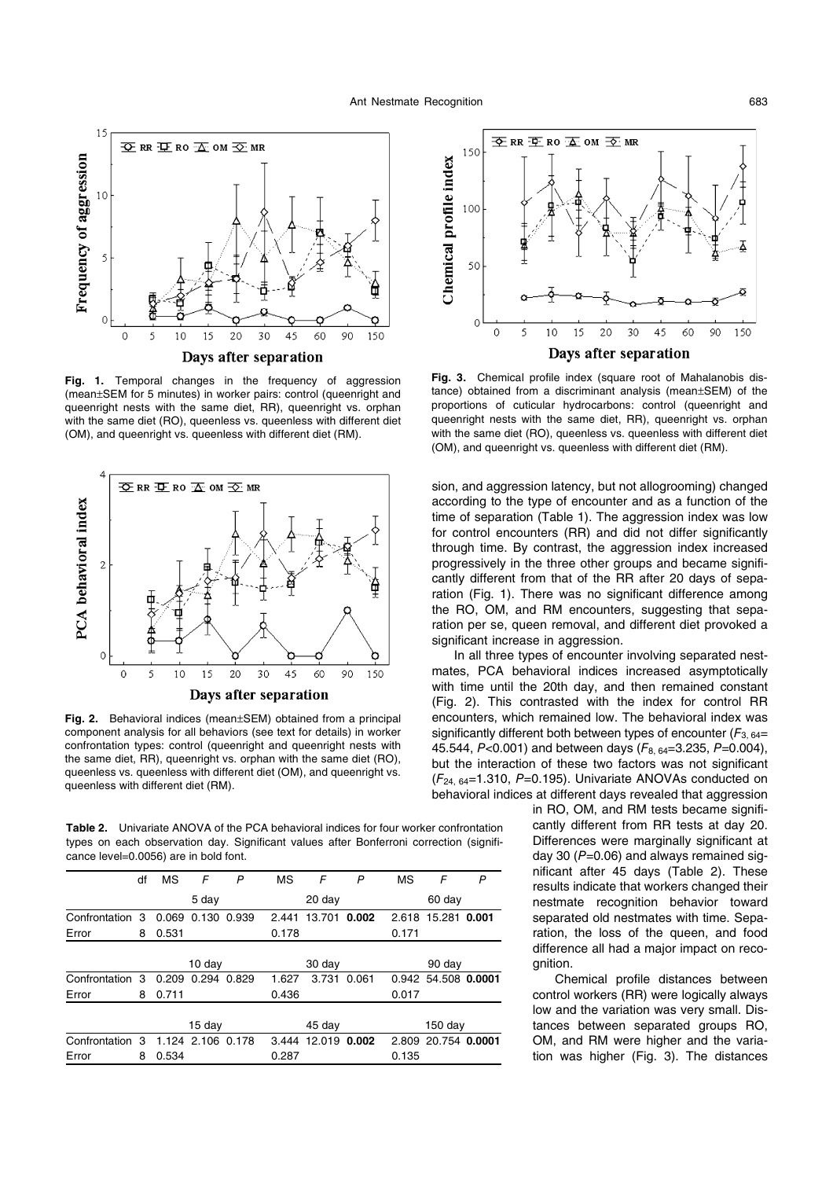

**Fig. 1.** Temporal changes in the frequency of aggression (mean±SEM for 5 minutes) in worker pairs: control (queenright and queenright nests with the same diet, RR), queenright vs. orphan with the same diet (RO), queenless vs. queenless with different diet (OM), and queenright vs. queenless with different diet (RM).



**Fig. 2.** Behavioral indices (mean±SEM) obtained from a principal component analysis for all behaviors (see text for details) in worker confrontation types: control (queenright and queenright nests with the same diet, RR), queenright vs. orphan with the same diet (RO), queenless vs. queenless with different diet (OM), and queenright vs. queenless with different diet (RM).

**Table 2.** Univariate ANOVA of the PCA behavioral indices for four worker confrontation types on each observation day. Significant values after Bonferroni correction (significance level=0.0056) are in bold font.

|                 | df     | MS                | F                 | P      | <b>MS</b> | F                  | P      | МS      | F                   | P |
|-----------------|--------|-------------------|-------------------|--------|-----------|--------------------|--------|---------|---------------------|---|
|                 |        | 5 day             |                   |        | $20$ day  |                    |        | 60 day  |                     |   |
| Confrontation 3 |        | 0.069             | 0.130 0.939       |        | 2.441     | 13.701             | 0.002  | 2.618   | 15.281 0.001        |   |
| Error           | 8      | 0.531             |                   |        | 0.178     |                    |        | 0.171   |                     |   |
|                 |        |                   |                   |        |           |                    |        |         |                     |   |
|                 | 10 day |                   |                   | 30 day |           |                    | 90 day |         |                     |   |
| Confrontation 3 |        | 0.209 0.294 0.829 |                   |        | 1.627     | 3.731              | 0.061  |         | 0.942 54.508 0.0001 |   |
| Error           | 8      | 0.711             |                   |        | 0.436     |                    |        | 0.017   |                     |   |
|                 |        |                   |                   |        |           |                    |        |         |                     |   |
|                 |        | 15 day            |                   |        | 45 day    |                    |        | 150 day |                     |   |
| Confrontation 3 |        |                   | 1.124 2.106 0.178 |        |           | 3.444 12.019 0.002 |        |         | 2.809 20.754 0.0001 |   |
| Error           | 8      | 0.534             |                   |        | 0.287     |                    |        | 0.135   |                     |   |



**Fig. 3.** Chemical profile index (square root of Mahalanobis distance) obtained from a discriminant analysis (mean±SEM) of the proportions of cuticular hydrocarbons: control (queenright and queenright nests with the same diet, RR), queenright vs. orphan with the same diet (RO), queenless vs. queenless with different diet (OM), and queenright vs. queenless with different diet (RM).

sion, and aggression latency, but not allogrooming) changed according to the type of encounter and as a function of the time of separation (Table 1). The aggression index was low for control encounters (RR) and did not differ significantly through time. By contrast, the aggression index increased progressively in the three other groups and became significantly different from that of the RR after 20 days of separation (Fig. 1). There was no significant difference among the RO, OM, and RM encounters, suggesting that separation per se, queen removal, and different diet provoked a significant increase in aggression.

In all three types of encounter involving separated nestmates, PCA behavioral indices increased asymptotically with time until the 20th day, and then remained constant (Fig. 2). This contrasted with the index for control RR encounters, which remained low. The behavioral index was significantly different both between types of encounter ( $F_{3.64}$ = 45.544, P<0.001) and between days ( $F_{8.64}$ =3.235, P=0.004), but the interaction of these two factors was not significant  $(F<sub>24, 64</sub>=1.310, P=0.195)$ . Univariate ANOVAs conducted on behavioral indices at different days revealed that aggression

> in RO, OM, and RM tests became significantly different from RR tests at day 20. Differences were marginally significant at day 30 ( $P=0.06$ ) and always remained significant after 45 days (Table 2). These results indicate that workers changed their nestmate recognition behavior toward separated old nestmates with time. Separation, the loss of the queen, and food difference all had a major impact on recognition.

> Chemical profile distances between control workers (RR) were logically always low and the variation was very small. Distances between separated groups RO, OM, and RM were higher and the variation was higher (Fig. 3). The distances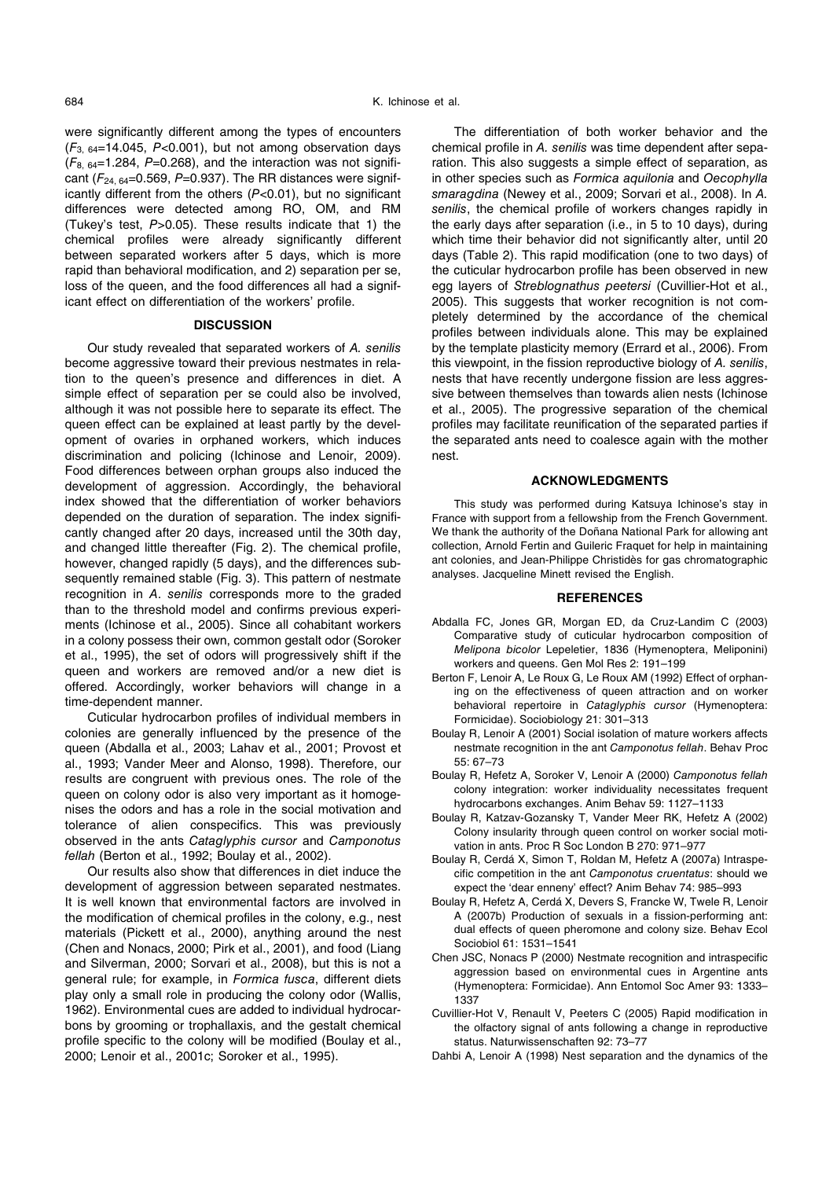were significantly different among the types of encounters  $(F_{3, 64}=14.045, P<0.001)$ , but not among observation days  $(F_{8, 64}=1.284, P=0.268)$ , and the interaction was not significant ( $F_{24, 64}$ =0.569, P=0.937). The RR distances were significantly different from the others (P<0.01), but no significant differences were detected among RO, OM, and RM (Tukey's test, P>0.05). These results indicate that 1) the chemical profiles were already significantly different between separated workers after 5 days, which is more rapid than behavioral modification, and 2) separation per se, loss of the queen, and the food differences all had a significant effect on differentiation of the workers' profile.

## **DISCUSSION**

Our study revealed that separated workers of A. senilis become aggressive toward their previous nestmates in relation to the queen's presence and differences in diet. A simple effect of separation per se could also be involved, although it was not possible here to separate its effect. The queen effect can be explained at least partly by the development of ovaries in orphaned workers, which induces discrimination and policing (Ichinose and Lenoir, 2009). Food differences between orphan groups also induced the development of aggression. Accordingly, the behavioral index showed that the differentiation of worker behaviors depended on the duration of separation. The index significantly changed after 20 days, increased until the 30th day, and changed little thereafter (Fig. 2). The chemical profile, however, changed rapidly (5 days), and the differences subsequently remained stable (Fig. 3). This pattern of nestmate recognition in A. senilis corresponds more to the graded than to the threshold model and confirms previous experiments (Ichinose et al., 2005). Since all cohabitant workers in a colony possess their own, common gestalt odor (Soroker et al., 1995), the set of odors will progressively shift if the queen and workers are removed and/or a new diet is offered. Accordingly, worker behaviors will change in a time-dependent manner.

Cuticular hydrocarbon profiles of individual members in colonies are generally influenced by the presence of the queen (Abdalla et al., 2003; Lahav et al., 2001; Provost et al., 1993; Vander Meer and Alonso, 1998). Therefore, our results are congruent with previous ones. The role of the queen on colony odor is also very important as it homogenises the odors and has a role in the social motivation and tolerance of alien conspecifics. This was previously observed in the ants Cataglyphis cursor and Camponotus fellah (Berton et al., 1992; Boulay et al., 2002).

Our results also show that differences in diet induce the development of aggression between separated nestmates. It is well known that environmental factors are involved in the modification of chemical profiles in the colony, e.g., nest materials (Pickett et al., 2000), anything around the nest (Chen and Nonacs, 2000; Pirk et al., 2001), and food (Liang and Silverman, 2000; Sorvari et al., 2008), but this is not a general rule; for example, in Formica fusca, different diets play only a small role in producing the colony odor (Wallis, 1962). Environmental cues are added to individual hydrocarbons by grooming or trophallaxis, and the gestalt chemical profile specific to the colony will be modified (Boulay et al., 2000; Lenoir et al., 2001c; Soroker et al., 1995).

The differentiation of both worker behavior and the chemical profile in A. senilis was time dependent after separation. This also suggests a simple effect of separation, as in other species such as Formica aquilonia and Oecophylla smaragdina (Newey et al., 2009; Sorvari et al., 2008). In A. senilis, the chemical profile of workers changes rapidly in the early days after separation (i.e., in 5 to 10 days), during which time their behavior did not significantly alter, until 20 days (Table 2). This rapid modification (one to two days) of the cuticular hydrocarbon profile has been observed in new egg layers of Streblognathus peetersi (Cuvillier-Hot et al., 2005). This suggests that worker recognition is not completely determined by the accordance of the chemical profiles between individuals alone. This may be explained by the template plasticity memory (Errard et al., 2006). From this viewpoint, in the fission reproductive biology of A. senilis, nests that have recently undergone fission are less aggressive between themselves than towards alien nests (Ichinose et al., 2005). The progressive separation of the chemical profiles may facilitate reunification of the separated parties if the separated ants need to coalesce again with the mother nest.

## **ACKNOWLEDGMENTS**

This study was performed during Katsuya Ichinose's stay in France with support from a fellowship from the French Government. We thank the authority of the Doñana National Park for allowing ant collection, Arnold Fertin and Guileric Fraquet for help in maintaining ant colonies, and Jean-Philippe Christidès for gas chromatographic analyses. Jacqueline Minett revised the English.

## **REFERENCES**

- Abdalla FC, Jones GR, Morgan ED, da Cruz-Landim C (2003) Comparative study of cuticular hydrocarbon composition of Melipona bicolor Lepeletier, 1836 (Hymenoptera, Meliponini) workers and queens. Gen Mol Res 2: 191–199
- Berton F, Lenoir A, Le Roux G, Le Roux AM (1992) Effect of orphaning on the effectiveness of queen attraction and on worker behavioral repertoire in Cataglyphis cursor (Hymenoptera: Formicidae). Sociobiology 21: 301–313
- Boulay R, Lenoir A (2001) Social isolation of mature workers affects nestmate recognition in the ant Camponotus fellah. Behav Proc 55: 67–73
- Boulay R, Hefetz A, Soroker V, Lenoir A (2000) Camponotus fellah colony integration: worker individuality necessitates frequent hydrocarbons exchanges. Anim Behav 59: 1127–1133
- Boulay R, Katzav-Gozansky T, Vander Meer RK, Hefetz A (2002) Colony insularity through queen control on worker social motivation in ants. Proc R Soc London B 270: 971–977
- Boulay R, Cerdá X, Simon T, Roldan M, Hefetz A (2007a) Intraspecific competition in the ant Camponotus cruentatus: should we expect the 'dear enneny' effect? Anim Behav 74: 985–993
- Boulay R, Hefetz A, Cerdá X, Devers S, Francke W, Twele R, Lenoir A (2007b) Production of sexuals in a fission-performing ant: dual effects of queen pheromone and colony size. Behav Ecol Sociobiol 61: 1531–1541
- Chen JSC, Nonacs P (2000) Nestmate recognition and intraspecific aggression based on environmental cues in Argentine ants (Hymenoptera: Formicidae). Ann Entomol Soc Amer 93: 1333– 1337
- Cuvillier-Hot V, Renault V, Peeters C (2005) Rapid modification in the olfactory signal of ants following a change in reproductive status. Naturwissenschaften 92: 73–77
- Dahbi A, Lenoir A (1998) Nest separation and the dynamics of the